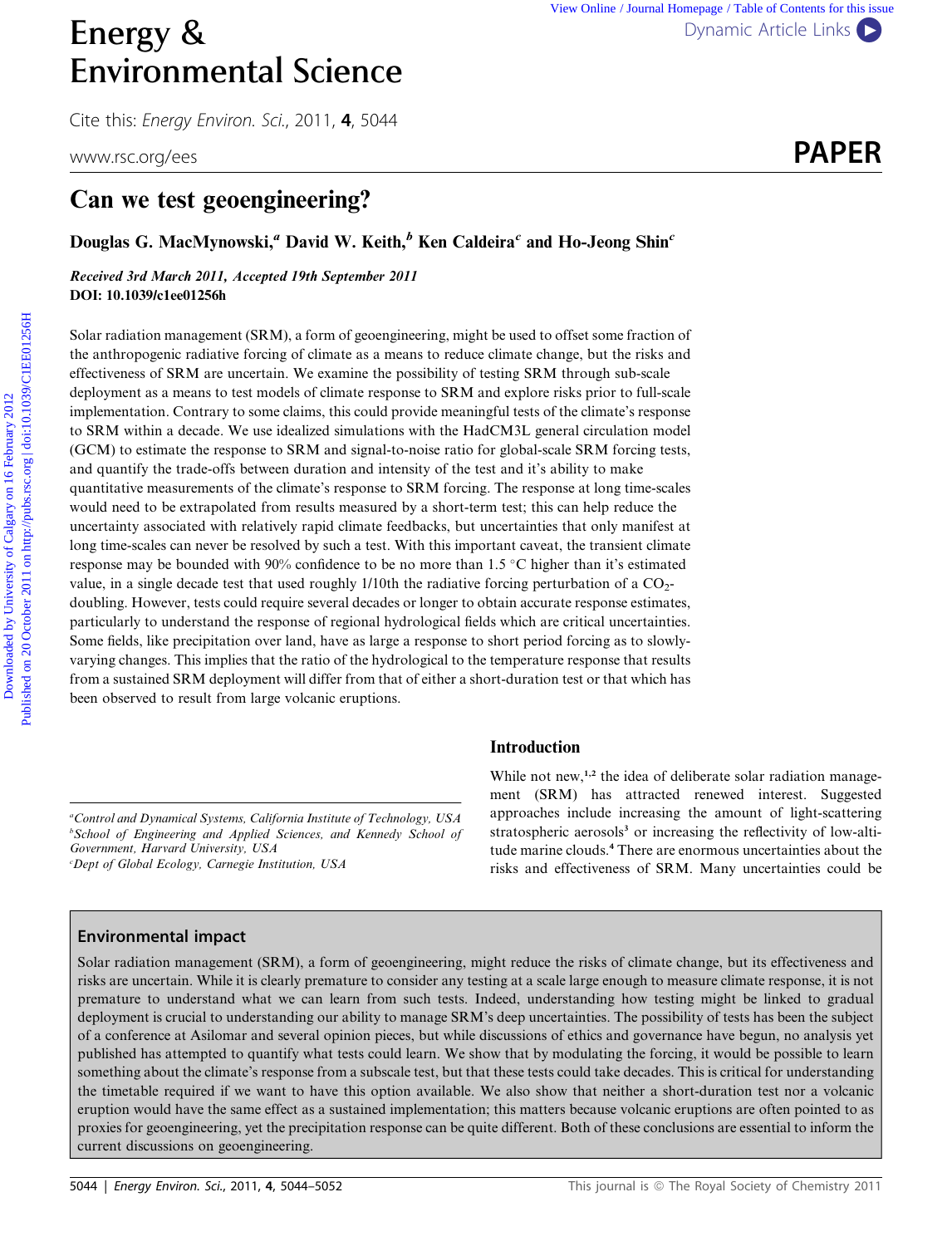# View Online / Journal Homepage / Table of Contents for this issue<br> **Environmental Science**<br> [Dynamic Article Links](http://dx.doi.org/10.1039/c1ee01256h) Environmental Science

Cite this: Energy Environ. Sci., 2011, <sup>4</sup>, 5044

## Can we test geoengineering?

Douglas G. MacMynowski,<sup>a</sup> David W. Keith, $\frac{b}{b}$  Ken Caldeira<sup>c</sup> and Ho-Jeong Shin<sup>c</sup>

Received 3rd March 2011, Accepted 19th September 2011 DOI: 10.1039/c1ee01256h

Solar radiation management (SRM), a form of geoengineering, might be used to offset some fraction of the anthropogenic radiative forcing of climate as a means to reduce climate change, but the risks and effectiveness of SRM are uncertain. We examine the possibility of testing SRM through sub-scale deployment as a means to test models of climate response to SRM and explore risks prior to full-scale implementation. Contrary to some claims, this could provide meaningful tests of the climate's response to SRM within a decade. We use idealized simulations with the HadCM3L general circulation model (GCM) to estimate the response to SRM and signal-to-noise ratio for global-scale SRM forcing tests, and quantify the trade-offs between duration and intensity of the test and it's ability to make quantitative measurements of the climate's response to SRM forcing. The response at long time-scales would need to be extrapolated from results measured by a short-term test; this can help reduce the uncertainty associated with relatively rapid climate feedbacks, but uncertainties that only manifest at long time-scales can never be resolved by such a test. With this important caveat, the transient climate response may be bounded with 90% confidence to be no more than 1.5 °C higher than it's estimated value, in a single decade test that used roughly  $1/10$ th the radiative forcing perturbation of a  $CO<sub>2</sub>$ doubling. However, tests could require several decades or longer to obtain accurate response estimates, particularly to understand the response of regional hydrological fields which are critical uncertainties. Some fields, like precipitation over land, have as large a response to short period forcing as to slowlyvarying changes. This implies that the ratio of the hydrological to the temperature response that results from a sustained SRM deployment will differ from that of either a short-duration test or that which has been observed to result from large volcanic eruptions. **Energy &**<br> **Environmental Science**<br> **Christian Environmental Science<br>
Christian Environmental Posts of California Contents of California Christian Environmental Posts (2012)<br>
<b>PAPER**<br> **Can we test geoengineering?**<br> **Doug** 

<sup>a</sup>Control and Dynamical Systems, California Institute of Technology, USA b School of Engineering and Applied Sciences, and Kennedy School of Government, Harvard University, USA c Dept of Global Ecology, Carnegie Institution, USA

#### Environmental impact

Solar radiation management (SRM), a form of geoengineering, might reduce the risks of climate change, but its effectiveness and risks are uncertain. While it is clearly premature to consider any testing at a scale large enough to measure climate response, it is not premature to understand what we can learn from such tests. Indeed, understanding how testing might be linked to gradual deployment is crucial to understanding our ability to manage SRM's deep uncertainties. The possibility of tests has been the subject of a conference at Asilomar and several opinion pieces, but while discussions of ethics and governance have begun, no analysis yet published has attempted to quantify what tests could learn. We show that by modulating the forcing, it would be possible to learn something about the climate's response from a subscale test, but that these tests could take decades. This is critical for understanding the timetable required if we want to have this option available. We also show that neither a short-duration test nor a volcanic eruption would have the same effect as a sustained implementation; this matters because volcanic eruptions are often pointed to as proxies for geoengineering, yet the precipitation response can be quite different. Both of these conclusions are essential to inform the current discussions on geoengineering.

Introduction



#### 5044 | Energy Environ. Sci., 2011, 4, 5044–5052 This journal is © The Royal Society of Chemistry 2011

While not new, $^{1,2}$  the idea of deliberate solar radiation management (SRM) has attracted renewed interest. Suggested approaches include increasing the amount of light-scattering stratospheric aerosols<sup>3</sup> or increasing the reflectivity of low-altitude marine clouds.<sup>4</sup> There are enormous uncertainties about the risks and effectiveness of SRM. Many uncertainties could be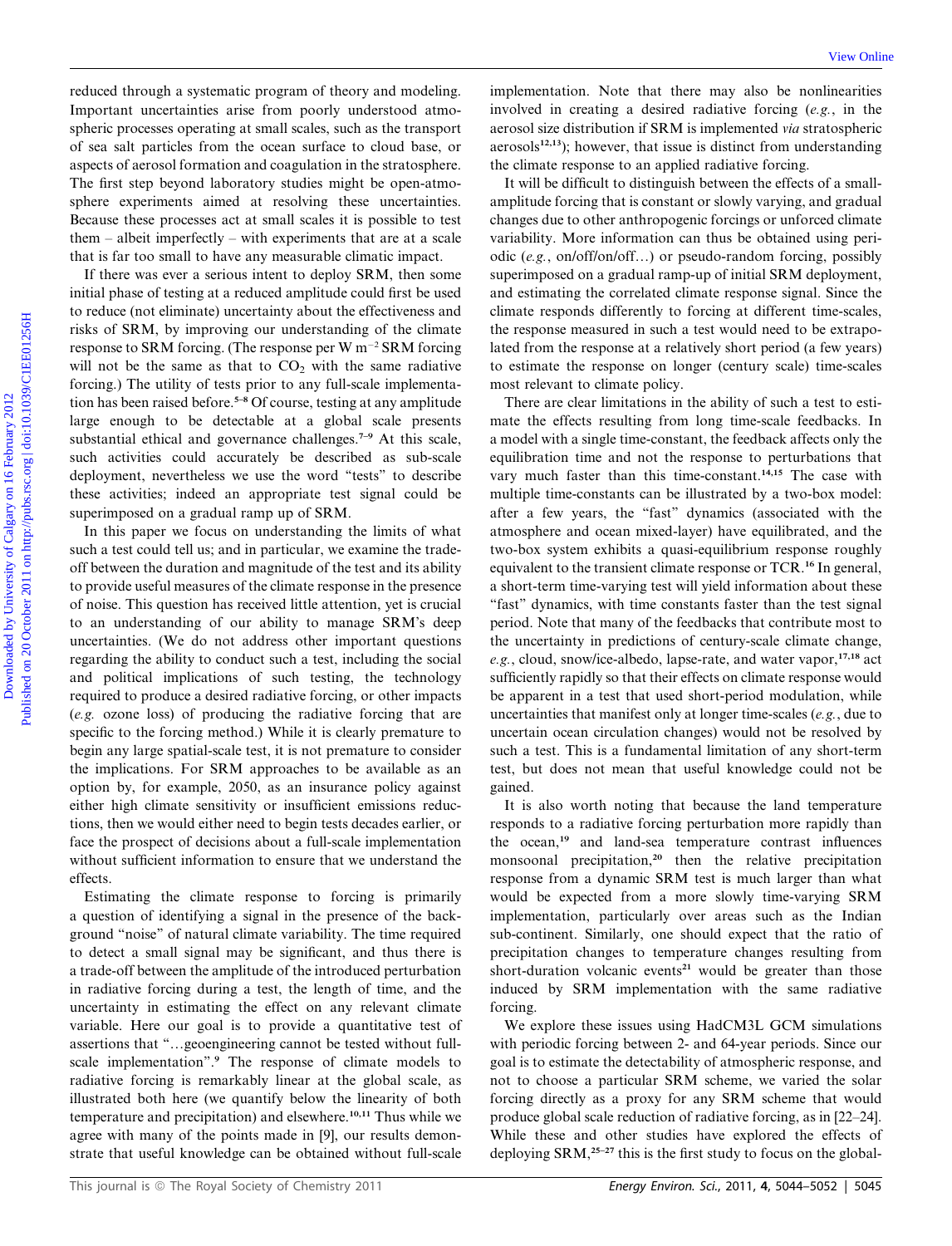reduced through a systematic program of theory and modeling. Important uncertainties arise from poorly understood atmospheric processes operating at small scales, such as the transport of sea salt particles from the ocean surface to cloud base, or aspects of aerosol formation and coagulation in the stratosphere. The first step beyond laboratory studies might be open-atmosphere experiments aimed at resolving these uncertainties. Because these processes act at small scales it is possible to test them – albeit imperfectly – with experiments that are at a scale that is far too small to have any measurable climatic impact.

If there was ever a serious intent to deploy SRM, then some initial phase of testing at a reduced amplitude could first be used to reduce (not eliminate) uncertainty about the effectiveness and risks of SRM, by improving our understanding of the climate response to SRM forcing. (The response per W  $m^{-2}$  SRM forcing will not be the same as that to  $CO<sub>2</sub>$  with the same radiative forcing.) The utility of tests prior to any full-scale implementation has been raised before.<sup>5–8</sup> Of course, testing at any amplitude large enough to be detectable at a global scale presents substantial ethical and governance challenges.<sup>7-9</sup> At this scale, such activities could accurately be described as sub-scale deployment, nevertheless we use the word ''tests'' to describe these activities; indeed an appropriate test signal could be superimposed on a gradual ramp up of SRM.

In this paper we focus on understanding the limits of what such a test could tell us; and in particular, we examine the tradeoff between the duration and magnitude of the test and its ability to provide useful measures of the climate response in the presence of noise. This question has received little attention, yet is crucial to an understanding of our ability to manage SRM's deep uncertainties. (We do not address other important questions regarding the ability to conduct such a test, including the social and political implications of such testing, the technology required to produce a desired radiative forcing, or other impacts (e.g. ozone loss) of producing the radiative forcing that are specific to the forcing method.) While it is clearly premature to begin any large spatial-scale test, it is not premature to consider the implications. For SRM approaches to be available as an option by, for example, 2050, as an insurance policy against either high climate sensitivity or insufficient emissions reductions, then we would either need to begin tests decades earlier, or face the prospect of decisions about a full-scale implementation without sufficient information to ensure that we understand the effects.

Estimating the climate response to forcing is primarily a question of identifying a signal in the presence of the background ''noise'' of natural climate variability. The time required to detect a small signal may be significant, and thus there is a trade-off between the amplitude of the introduced perturbation in radiative forcing during a test, the length of time, and the uncertainty in estimating the effect on any relevant climate variable. Here our goal is to provide a quantitative test of assertions that "...geoengineering cannot be tested without fullscale implementation''.<sup>9</sup> The response of climate models to radiative forcing is remarkably linear at the global scale, as illustrated both here (we quantify below the linearity of both temperature and precipitation) and elsewhere.10,11 Thus while we agree with many of the points made in [9], our results demonstrate that useful knowledge can be obtained without full-scale

implementation. Note that there may also be nonlinearities involved in creating a desired radiative forcing (e.g., in the aerosol size distribution if SRM is implemented via stratospheric  $aerosols<sup>12,13</sup>$ ; however, that issue is distinct from understanding the climate response to an applied radiative forcing.

It will be difficult to distinguish between the effects of a smallamplitude forcing that is constant or slowly varying, and gradual changes due to other anthropogenic forcings or unforced climate variability. More information can thus be obtained using periodic (e.g., on/off/on/off...) or pseudo-random forcing, possibly superimposed on a gradual ramp-up of initial SRM deployment, and estimating the correlated climate response signal. Since the climate responds differently to forcing at different time-scales, the response measured in such a test would need to be extrapolated from the response at a relatively short period (a few years) to estimate the response on longer (century scale) time-scales most relevant to climate policy.

There are clear limitations in the ability of such a test to estimate the effects resulting from long time-scale feedbacks. In a model with a single time-constant, the feedback affects only the equilibration time and not the response to perturbations that vary much faster than this time-constant.14,15 The case with multiple time-constants can be illustrated by a two-box model: after a few years, the "fast" dynamics (associated with the atmosphere and ocean mixed-layer) have equilibrated, and the two-box system exhibits a quasi-equilibrium response roughly equivalent to the transient climate response or TCR.<sup>16</sup> In general, a short-term time-varying test will yield information about these "fast" dynamics, with time constants faster than the test signal period. Note that many of the feedbacks that contribute most to the uncertainty in predictions of century-scale climate change, e.g., cloud, snow/ice-albedo, lapse-rate, and water vapor,<sup>17,18</sup> act sufficiently rapidly so that their effects on climate response would be apparent in a test that used short-period modulation, while uncertainties that manifest only at longer time-scales (e.g., due to uncertain ocean circulation changes) would not be resolved by such a test. This is a fundamental limitation of any short-term test, but does not mean that useful knowledge could not be gained. Collection is a statistic required by the collection of the collection of the collection of California and the collection of California and the collection of California and the collection of California and the collection

> It is also worth noting that because the land temperature responds to a radiative forcing perturbation more rapidly than the ocean,<sup>19</sup> and land-sea temperature contrast influences monsoonal precipitation,<sup>20</sup> then the relative precipitation response from a dynamic SRM test is much larger than what would be expected from a more slowly time-varying SRM implementation, particularly over areas such as the Indian sub-continent. Similarly, one should expect that the ratio of precipitation changes to temperature changes resulting from short-duration volcanic events<sup>21</sup> would be greater than those induced by SRM implementation with the same radiative forcing.

> We explore these issues using HadCM3L GCM simulations with periodic forcing between 2- and 64-year periods. Since our goal is to estimate the detectability of atmospheric response, and not to choose a particular SRM scheme, we varied the solar forcing directly as a proxy for any SRM scheme that would produce global scale reduction of radiative forcing, as in [22–24]. While these and other studies have explored the effects of deploying  $SRM$ ,<sup>25-27</sup> this is the first study to focus on the global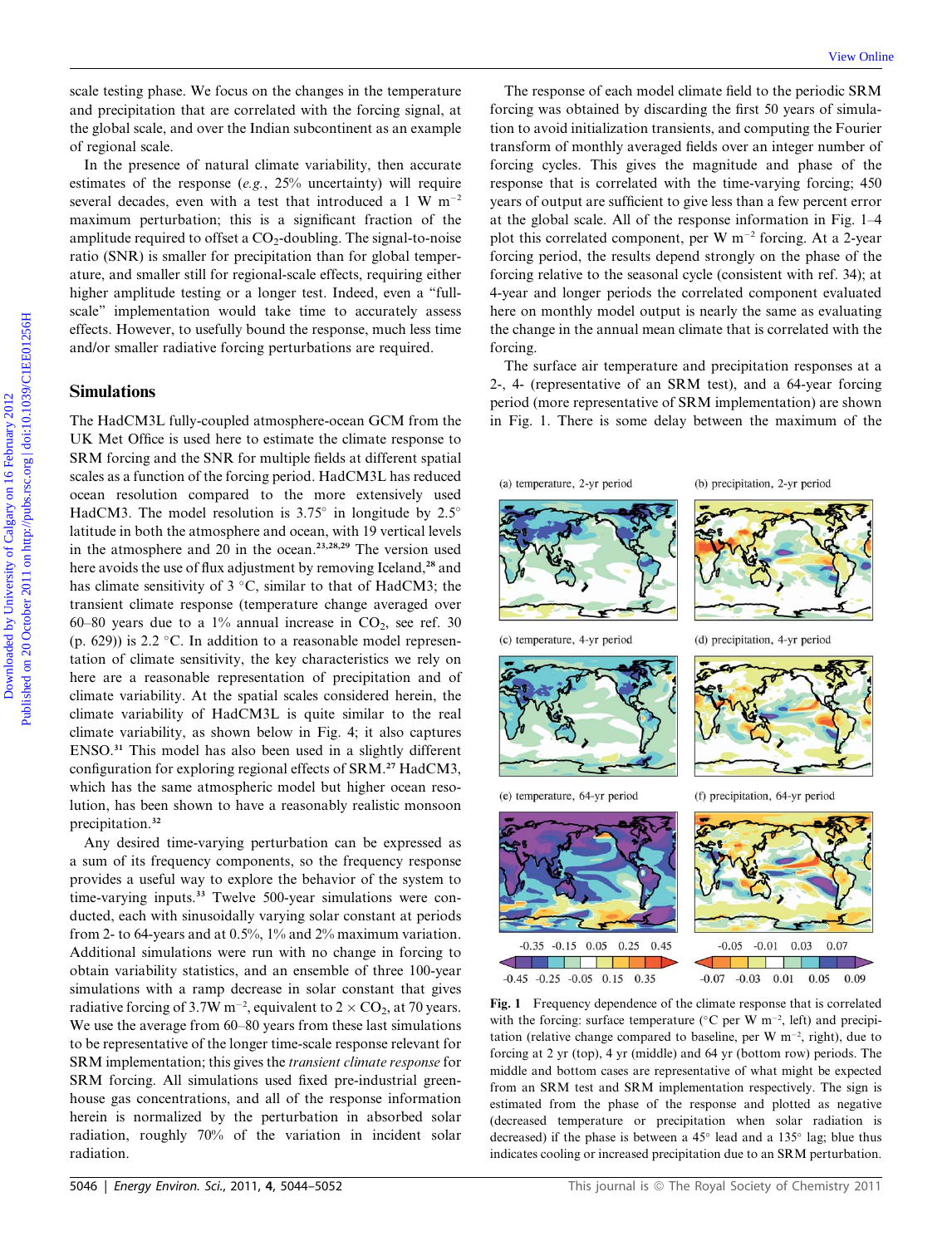scale testing phase. We focus on the changes in the temperature and precipitation that are correlated with the forcing signal, at the global scale, and over the Indian subcontinent as an example of regional scale.

In the presence of natural climate variability, then accurate estimates of the response  $(e.g., 25\%$  uncertainty) will require several decades, even with a test that introduced a 1 W  $m^{-2}$ maximum perturbation; this is a significant fraction of the amplitude required to offset a  $CO<sub>2</sub>$ -doubling. The signal-to-noise ratio (SNR) is smaller for precipitation than for global temperature, and smaller still for regional-scale effects, requiring either higher amplitude testing or a longer test. Indeed, even a "fullscale'' implementation would take time to accurately assess effects. However, to usefully bound the response, much less time and/or smaller radiative forcing perturbations are required.

#### Simulations

The HadCM3L fully-coupled atmosphere-ocean GCM from the UK Met Office is used here to estimate the climate response to SRM forcing and the SNR for multiple fields at different spatial scales as a function of the forcing period. HadCM3L has reduced ocean resolution compared to the more extensively used HadCM3. The model resolution is  $3.75^{\circ}$  in longitude by  $2.5^{\circ}$ latitude in both the atmosphere and ocean, with 19 vertical levels in the atmosphere and 20 in the ocean.<sup>23,28,29</sup> The version used here avoids the use of flux adjustment by removing Iceland,<sup>28</sup> and has climate sensitivity of  $3^{\circ}$ C, similar to that of HadCM3; the transient climate response (temperature change averaged over 60–80 years due to a 1% annual increase in  $CO<sub>2</sub>$ , see ref. 30 (p. 629)) is 2.2 °C. In addition to a reasonable model representation of climate sensitivity, the key characteristics we rely on here are a reasonable representation of precipitation and of climate variability. At the spatial scales considered herein, the climate variability of HadCM3L is quite similar to the real climate variability, as shown below in Fig. 4; it also captures ENSO.<sup>31</sup> This model has also been used in a slightly different configuration for exploring regional effects of SRM.<sup>27</sup> HadCM3, which has the same atmospheric model but higher ocean resolution, has been shown to have a reasonably realistic monsoon precipitation.<sup>32</sup> scale texting phase. We focus on the changes in the terrestince<br>
and provide SEM and provide SEM and concelled with the focus equal at focus in each column of the control of the control of Calgary on the control of Calgar

Any desired time-varying perturbation can be expressed as a sum of its frequency components, so the frequency response provides a useful way to explore the behavior of the system to time-varying inputs.<sup>33</sup> Twelve 500-year simulations were conducted, each with sinusoidally varying solar constant at periods from 2- to 64-years and at 0.5%, 1% and 2% maximum variation. Additional simulations were run with no change in forcing to obtain variability statistics, and an ensemble of three 100-year simulations with a ramp decrease in solar constant that gives radiative forcing of 3.7W m<sup>-2</sup>, equivalent to  $2 \times \text{CO}_2$ , at 70 years. We use the average from 60–80 years from these last simulations to be representative of the longer time-scale response relevant for SRM implementation; this gives the transient climate response for SRM forcing. All simulations used fixed pre-industrial greenhouse gas concentrations, and all of the response information herein is normalized by the perturbation in absorbed solar radiation, roughly 70% of the variation in incident solar radiation.

The response of each model climate field to the periodic SRM forcing was obtained by discarding the first 50 years of simulation to avoid initialization transients, and computing the Fourier transform of monthly averaged fields over an integer number of forcing cycles. This gives the magnitude and phase of the response that is correlated with the time-varying forcing; 450 years of output are sufficient to give less than a few percent error at the global scale. All of the response information in Fig. 1–4 plot this correlated component, per W  $m^{-2}$  forcing. At a 2-year forcing period, the results depend strongly on the phase of the forcing relative to the seasonal cycle (consistent with ref. 34); at 4-year and longer periods the correlated component evaluated here on monthly model output is nearly the same as evaluating the change in the annual mean climate that is correlated with the forcing.

The surface air temperature and precipitation responses at a 2-, 4- (representative of an SRM test), and a 64-year forcing period (more representative of SRM implementation) are shown in Fig. 1. There is some delay between the maximum of the







(e) temperature, 64-yr period



(f) precipitation, 64-yr period



Fig. 1 Frequency dependence of the climate response that is correlated with the forcing: surface temperature ( ${}^{\circ}$ C per W m<sup>-2</sup>, left) and precipitation (relative change compared to baseline, per W  $m^{-2}$ , right), due to forcing at 2 yr (top), 4 yr (middle) and 64 yr (bottom row) periods. The middle and bottom cases are representative of what might be expected from an SRM test and SRM implementation respectively. The sign is estimated from the phase of the response and plotted as negative (decreased temperature or precipitation when solar radiation is decreased) if the phase is between a  $45^{\circ}$  lead and a  $135^{\circ}$  lag; blue thus indicates cooling or increased precipitation due to an SRM perturbation.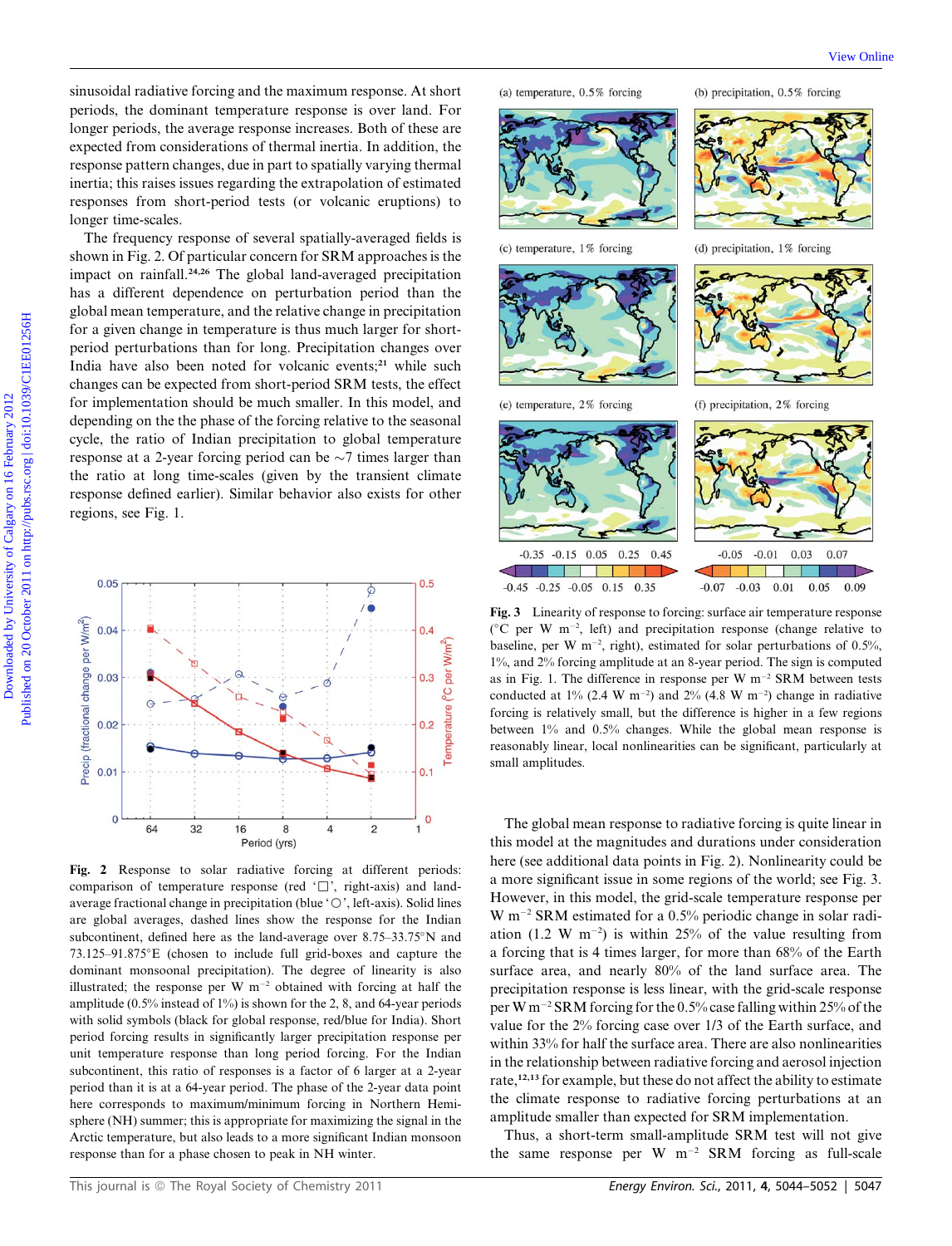sinusoidal radiative forcing and the maximum response. At short periods, the dominant temperature response is over land. For longer periods, the average response increases. Both of these are expected from considerations of thermal inertia. In addition, the response pattern changes, due in part to spatially varying thermal inertia; this raises issues regarding the extrapolation of estimated responses from short-period tests (or volcanic eruptions) to longer time-scales.

The frequency response of several spatially-averaged fields is shown in Fig. 2. Of particular concern for SRM approaches is the impact on rainfall.<sup>24,26</sup> The global land-averaged precipitation has a different dependence on perturbation period than the global mean temperature, and the relative change in precipitation for a given change in temperature is thus much larger for shortperiod perturbations than for long. Precipitation changes over India have also been noted for volcanic events;<sup>21</sup> while such changes can be expected from short-period SRM tests, the effect for implementation should be much smaller. In this model, and depending on the the phase of the forcing relative to the seasonal cycle, the ratio of Indian precipitation to global temperature response at a 2-year forcing period can be  $\sim$ 7 times larger than the ratio at long time-scales (given by the transient climate response defined earlier). Similar behavior also exists for other regions, see Fig. 1. entropy the property of Calgary of Calgary on 16 February 2012 Published on 2012 Published on 2012 Published on 2012 Published on 2012 Published on 2012 Published on 2012 Published on 2012 Published on 2012 Published on 2



Fig. 2 Response to solar radiative forcing at different periods: comparison of temperature response (red  $\Box$ ), right-axis) and landaverage fractional change in precipitation (blue ' $\bigcirc$ ', left-axis). Solid lines are global averages, dashed lines show the response for the Indian subcontinent, defined here as the land-average over  $8.75-33.75^{\circ}$  N and 73.125–91.875E (chosen to include full grid-boxes and capture the dominant monsoonal precipitation). The degree of linearity is also illustrated; the response per W  $m^{-2}$  obtained with forcing at half the amplitude (0.5% instead of 1%) is shown for the 2, 8, and 64-year periods with solid symbols (black for global response, red/blue for India). Short period forcing results in significantly larger precipitation response per unit temperature response than long period forcing. For the Indian subcontinent, this ratio of responses is a factor of 6 larger at a 2-year period than it is at a 64-year period. The phase of the 2-year data point here corresponds to maximum/minimum forcing in Northern Hemisphere (NH) summer; this is appropriate for maximizing the signal in the Arctic temperature, but also leads to a more significant Indian monsoon response than for a phase chosen to peak in NH winter.







Fig. 3 Linearity of response to forcing: surface air temperature response ( ${}^{\circ}$ C per W m<sup>-2</sup>, left) and precipitation response (change relative to baseline, per W m<sup>-2</sup>, right), estimated for solar perturbations of 0.5%, 1%, and 2% forcing amplitude at an 8-year period. The sign is computed as in Fig. 1. The difference in response per W  $m^{-2}$  SRM between tests conducted at  $1\%$  (2.4 W m<sup>-2</sup>) and  $2\%$  (4.8 W m<sup>-2</sup>) change in radiative forcing is relatively small, but the difference is higher in a few regions between 1% and 0.5% changes. While the global mean response is reasonably linear, local nonlinearities can be significant, particularly at small amplitudes.

The global mean response to radiative forcing is quite linear in this model at the magnitudes and durations under consideration here (see additional data points in Fig. 2). Nonlinearity could be a more significant issue in some regions of the world; see Fig. 3. However, in this model, the grid-scale temperature response per  $W$  m<sup>-2</sup> SRM estimated for a 0.5% periodic change in solar radiation (1.2 W  $m^{-2}$ ) is within 25% of the value resulting from a forcing that is 4 times larger, for more than 68% of the Earth surface area, and nearly 80% of the land surface area. The precipitation response is less linear, with the grid-scale response per W m<sup>-2</sup> SRM forcing for the 0.5% case falling within 25% of the value for the 2% forcing case over 1/3 of the Earth surface, and within 33% for half the surface area. There are also nonlinearities in the relationship between radiative forcing and aerosol injection rate,<sup>12,13</sup> for example, but these do not affect the ability to estimate the climate response to radiative forcing perturbations at an amplitude smaller than expected for SRM implementation.

Thus, a short-term small-amplitude SRM test will not give the same response per W  $m^{-2}$  SRM forcing as full-scale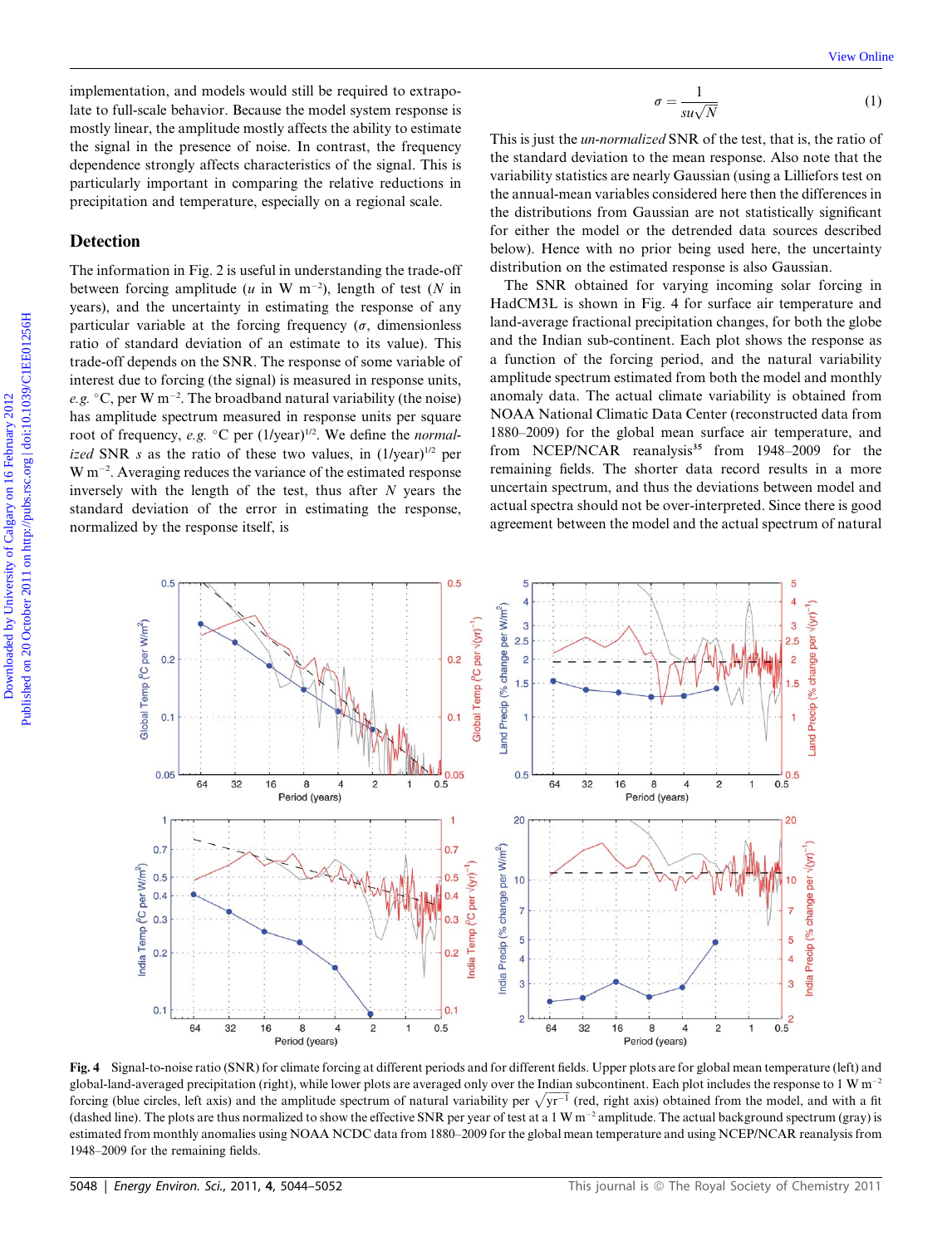implementation, and models would still be required to extrapolate to full-scale behavior. Because the model system response is mostly linear, the amplitude mostly affects the ability to estimate the signal in the presence of noise. In contrast, the frequency dependence strongly affects characteristics of the signal. This is particularly important in comparing the relative reductions in precipitation and temperature, especially on a regional scale.

#### Detection

The information in Fig. 2 is useful in understanding the trade-off between forcing amplitude ( $u$  in W m<sup>-2</sup>), length of test ( $N$  in years), and the uncertainty in estimating the response of any particular variable at the forcing frequency  $(\sigma,$  dimensionless ratio of standard deviation of an estimate to its value). This trade-off depends on the SNR. The response of some variable of interest due to forcing (the signal) is measured in response units, e.g.  $\degree$ C, per W m<sup>-2</sup>. The broadband natural variability (the noise) has amplitude spectrum measured in response units per square root of frequency, e.g.  $\degree$ C per (1/year)<sup>1/2</sup>. We define the *normal*ized SNR s as the ratio of these two values, in  $(1/\text{year})^{1/2}$  per  $W$  m<sup>-2</sup>. Averaging reduces the variance of the estimated response inversely with the length of the test, thus after  $N$  years the standard deviation of the error in estimating the response, normalized by the response itself, is

$$
\sigma = \frac{1}{su\sqrt{N}}\tag{1}
$$

This is just the un-normalized SNR of the test, that is, the ratio of the standard deviation to the mean response. Also note that the variability statistics are nearly Gaussian (using a Lilliefors test on the annual-mean variables considered here then the differences in the distributions from Gaussian are not statistically significant for either the model or the detrended data sources described below). Hence with no prior being used here, the uncertainty distribution on the estimated response is also Gaussian.

The SNR obtained for varying incoming solar forcing in HadCM3L is shown in Fig. 4 for surface air temperature and land-average fractional precipitation changes, for both the globe and the Indian sub-continent. Each plot shows the response as a function of the forcing period, and the natural variability amplitude spectrum estimated from both the model and monthly anomaly data. The actual climate variability is obtained from NOAA National Climatic Data Center (reconstructed data from 1880–2009) for the global mean surface air temperature, and from NCEP/NCAR reanalysis<sup>35</sup> from 1948–2009 for the remaining fields. The shorter data record results in a more uncertain spectrum, and thus the deviations between model and actual spectra should not be over-interpreted. Since there is good agreement between the model and the actual spectrum of natural



Fig. 4 Signal-to-noise ratio (SNR) for climate forcing at different periods and for different fields. Upper plots are for global mean temperature (left) and global-land-averaged precipitation (right), while lower plots are averaged only over the Indian subcontinent. Each plot includes the response to 1 W m<sup>-2</sup> forcing (blue circles, left axis) and the amplitude spectrum of natural variability per  $\sqrt{yr^{-1}}$  (red, right axis) obtained from the model, and with a fit (dashed line). The plots are thus normalized to show the effective SNR per year of test at a 1 W m<sup>-2</sup> amplitude. The actual background spectrum (gray) is estimated from monthly anomalies using NOAA NCDC data from 1880–2009 for the global mean temperature and using NCEP/NCAR reanalysis from 1948–2009 for the remaining fields.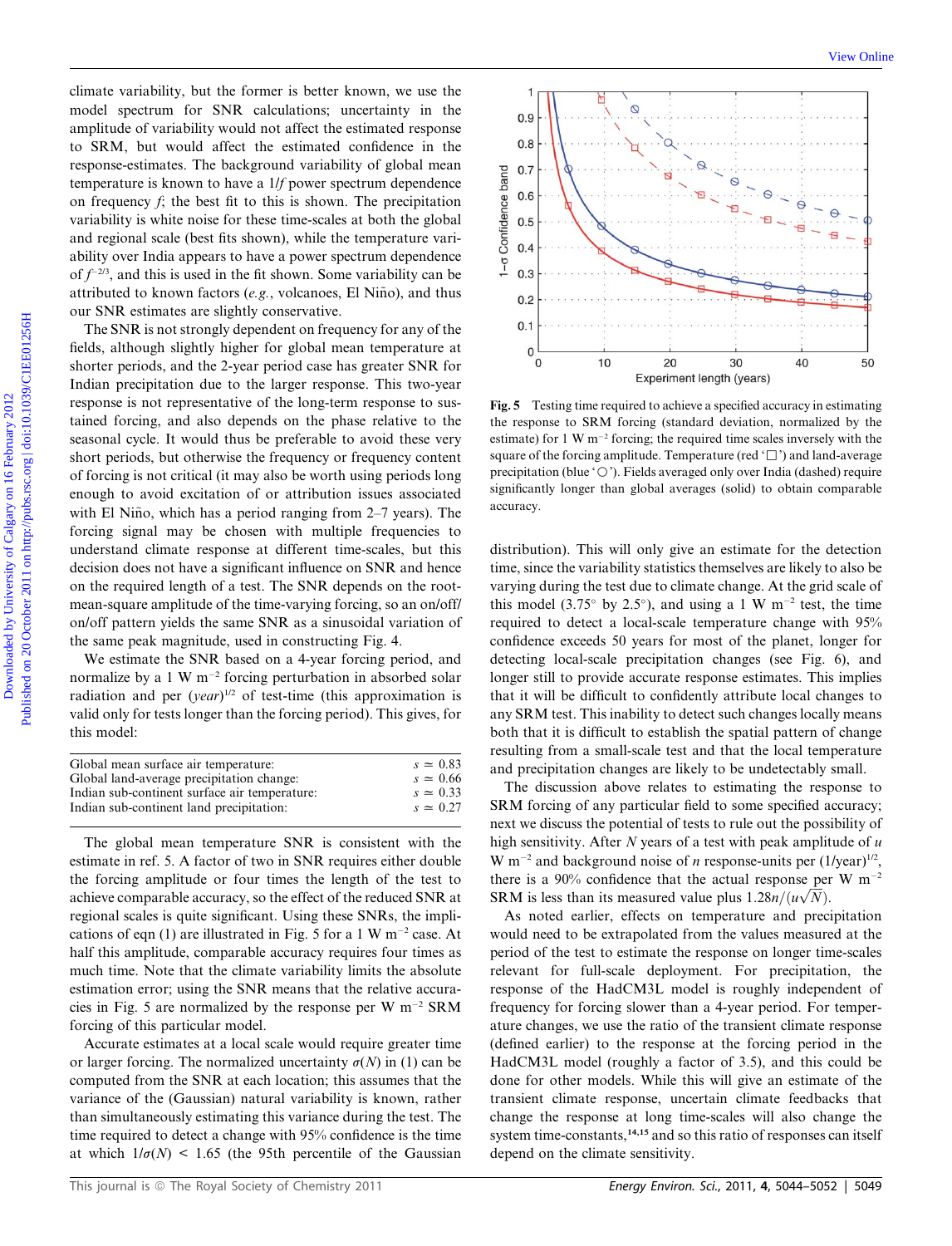climate variability, but the former is better known, we use the model spectrum for SNR calculations; uncertainty in the amplitude of variability would not affect the estimated response to SRM, but would affect the estimated confidence in the response-estimates. The background variability of global mean temperature is known to have a 1/f power spectrum dependence on frequency f; the best fit to this is shown. The precipitation variability is white noise for these time-scales at both the global and regional scale (best fits shown), while the temperature variability over India appears to have a power spectrum dependence of  $f^{-2/3}$ , and this is used in the fit shown. Some variability can be attributed to known factors (e.g., volcanoes, El Niño), and thus our SNR estimates are slightly conservative.

The SNR is not strongly dependent on frequency for any of the fields, although slightly higher for global mean temperature at shorter periods, and the 2-year period case has greater SNR for Indian precipitation due to the larger response. This two-year response is not representative of the long-term response to sustained forcing, and also depends on the phase relative to the seasonal cycle. It would thus be preferable to avoid these very short periods, but otherwise the frequency or frequency content of forcing is not critical (it may also be worth using periods long enough to avoid excitation of or attribution issues associated with El Niño, which has a period ranging from  $2-7$  years). The forcing signal may be chosen with multiple frequencies to understand climate response at different time-scales, but this decision does not have a significant influence on SNR and hence on the required length of a test. The SNR depends on the rootmean-square amplitude of the time-varying forcing, so an on/off/ on/off pattern yields the same SNR as a sinusoidal variation of the same peak magnitude, used in constructing Fig. 4.

We estimate the SNR based on a 4-year forcing period, and normalize by a 1 W  $m^{-2}$  forcing perturbation in absorbed solar radiation and per  $(year)^{1/2}$  of test-time (this approximation is valid only for tests longer than the forcing period). This gives, for this model:

| Global mean surface air temperature:          | $s \approx 0.83$ |
|-----------------------------------------------|------------------|
| Global land-average precipitation change:     | $s \approx 0.66$ |
| Indian sub-continent surface air temperature: | $s \approx 0.33$ |
| Indian sub-continent land precipitation:      | $s \approx 0.27$ |
|                                               |                  |

The global mean temperature SNR is consistent with the estimate in ref. 5. A factor of two in SNR requires either double the forcing amplitude or four times the length of the test to achieve comparable accuracy, so the effect of the reduced SNR at regional scales is quite significant. Using these SNRs, the implications of eqn (1) are illustrated in Fig. 5 for a 1 W  $m^{-2}$  case. At half this amplitude, comparable accuracy requires four times as much time. Note that the climate variability limits the absolute estimation error; using the SNR means that the relative accuracies in Fig. 5 are normalized by the response per W  $m^{-2}$  SRM forcing of this particular model.

Accurate estimates at a local scale would require greater time or larger forcing. The normalized uncertainty  $\sigma(N)$  in (1) can be computed from the SNR at each location; this assumes that the variance of the (Gaussian) natural variability is known, rather than simultaneously estimating this variance during the test. The time required to detect a change with 95% confidence is the time at which  $1/\sigma(N)$  < 1.65 (the 95th percentile of the Gaussian



Fig. 5 Testing time required to achieve a specified accuracy in estimating the response to SRM forcing (standard deviation, normalized by the estimate) for  $1 \text{ W m}^{-2}$  forcing; the required time scales inversely with the square of the forcing amplitude. Temperature (red  $\Box$ ) and land-average precipitation (blue ' $\bigcirc$ '). Fields averaged only over India (dashed) require significantly longer than global averages (solid) to obtain comparable accuracy.

distribution). This will only give an estimate for the detection time, since the variability statistics themselves are likely to also be varying during the test due to climate change. At the grid scale of this model (3.75 $\degree$  by 2.5 $\degree$ ), and using a 1 W m<sup>-2</sup> test, the time required to detect a local-scale temperature change with 95% confidence exceeds 50 years for most of the planet, longer for detecting local-scale precipitation changes (see Fig. 6), and longer still to provide accurate response estimates. This implies that it will be difficult to confidently attribute local changes to any SRM test. This inability to detect such changes locally means both that it is difficult to establish the spatial pattern of change resulting from a small-scale test and that the local temperature and precipitation changes are likely to be undetectably small.

The discussion above relates to estimating the response to SRM forcing of any particular field to some specified accuracy; next we discuss the potential of tests to rule out the possibility of high sensitivity. After  $N$  years of a test with peak amplitude of  $u$ W m<sup>-2</sup> and background noise of *n* response-units per  $(1/\text{year})^{1/2}$ , there is a 90% confidence that the actual response per W  $\mathrm{m}^{-2}$ SRM is less than its measured value plus  $1.28n/(u\sqrt{N})$ .

As noted earlier, effects on temperature and precipitation would need to be extrapolated from the values measured at the period of the test to estimate the response on longer time-scales relevant for full-scale deployment. For precipitation, the response of the HadCM3L model is roughly independent of frequency for forcing slower than a 4-year period. For temperature changes, we use the ratio of the transient climate response (defined earlier) to the response at the forcing period in the HadCM3L model (roughly a factor of 3.5), and this could be done for other models. While this will give an estimate of the transient climate response, uncertain climate feedbacks that change the response at long time-scales will also change the system time-constants,<sup>14,15</sup> and so this ratio of responses can itself depend on the climate sensitivity.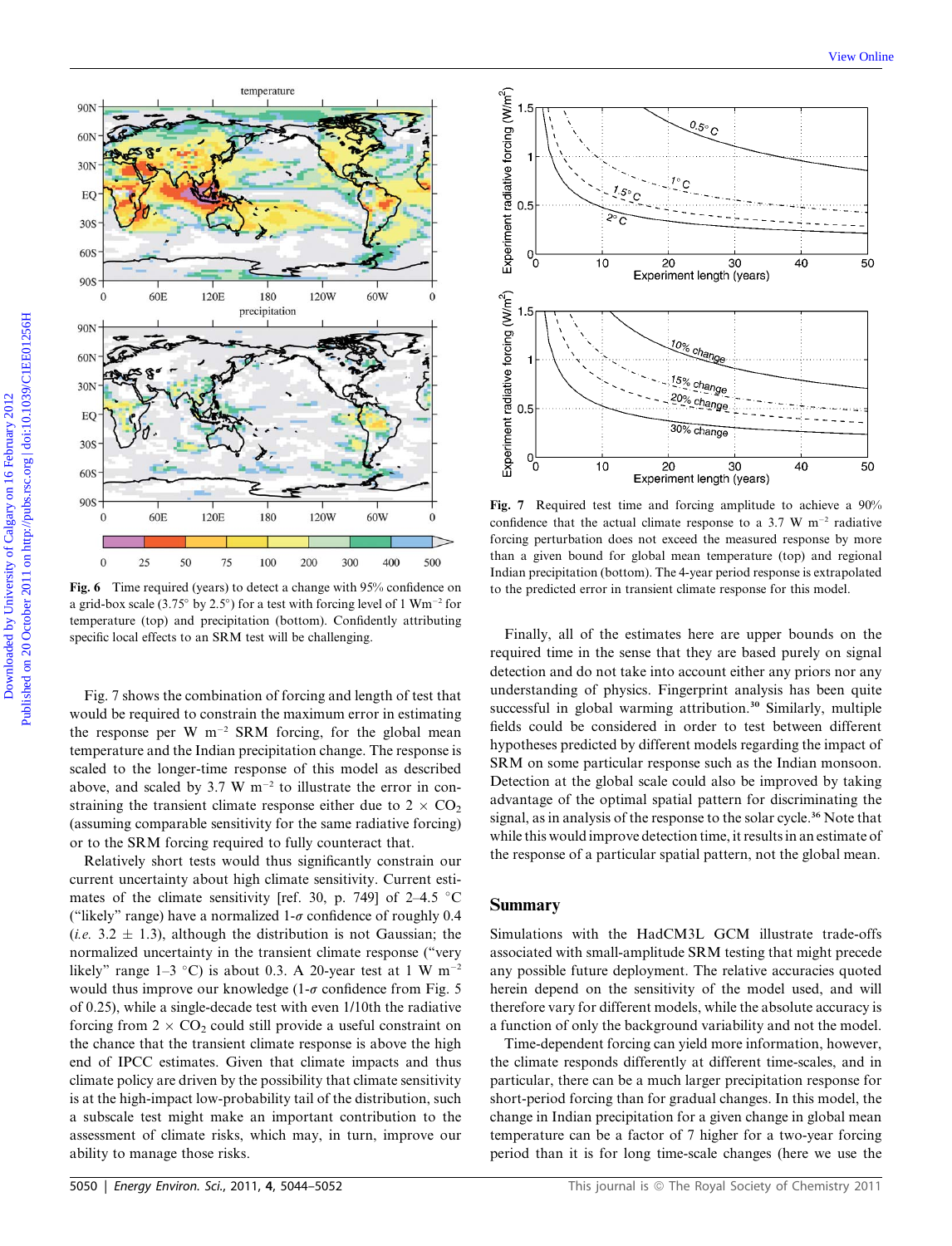

Fig. 6 Time required (years) to detect a change with 95% confidence on a grid-box scale (3.75° by 2.5°) for a test with forcing level of 1 Wm<sup>-2</sup> for temperature (top) and precipitation (bottom). Confidently attributing specific local effects to an SRM test will be challenging.

Fig. 7 shows the combination of forcing and length of test that would be required to constrain the maximum error in estimating the response per W  $m^{-2}$  SRM forcing, for the global mean temperature and the Indian precipitation change. The response is scaled to the longer-time response of this model as described above, and scaled by 3.7 W  $m^{-2}$  to illustrate the error in constraining the transient climate response either due to  $2 \times CO<sub>2</sub>$ (assuming comparable sensitivity for the same radiative forcing) or to the SRM forcing required to fully counteract that.

Relatively short tests would thus significantly constrain our current uncertainty about high climate sensitivity. Current estimates of the climate sensitivity [ref. 30, p. 749] of 2–4.5  $\degree$ C ("likely" range) have a normalized  $1-\sigma$  confidence of roughly 0.4 (*i.e.* 3.2  $\pm$  1.3), although the distribution is not Gaussian; the normalized uncertainty in the transient climate response (''very likely" range  $1-3$  °C) is about 0.3. A 20-year test at 1 W m<sup>-2</sup> would thus improve our knowledge (1- $\sigma$  confidence from Fig. 5 of 0.25), while a single-decade test with even 1/10th the radiative forcing from  $2 \times CO_2$  could still provide a useful constraint on the chance that the transient climate response is above the high end of IPCC estimates. Given that climate impacts and thus climate policy are driven by the possibility that climate sensitivity is at the high-impact low-probability tail of the distribution, such a subscale test might make an important contribution to the assessment of climate risks, which may, in turn, improve our ability to manage those risks.



Fig. 7 Required test time and forcing amplitude to achieve a 90% confidence that the actual climate response to a 3.7 W  $m^{-2}$  radiative forcing perturbation does not exceed the measured response by more than a given bound for global mean temperature (top) and regional Indian precipitation (bottom). The 4-year period response is extrapolated to the predicted error in transient climate response for this model.

Finally, all of the estimates here are upper bounds on the required time in the sense that they are based purely on signal detection and do not take into account either any priors nor any understanding of physics. Fingerprint analysis has been quite successful in global warming attribution.<sup>30</sup> Similarly, multiple fields could be considered in order to test between different hypotheses predicted by different models regarding the impact of SRM on some particular response such as the Indian monsoon. Detection at the global scale could also be improved by taking advantage of the optimal spatial pattern for discriminating the signal, as in analysis of the response to the solar cycle.<sup>36</sup> Note that while this would improve detection time, it results in an estimate of the response of a particular spatial pattern, not the global mean.

#### Summary

Simulations with the HadCM3L GCM illustrate trade-offs associated with small-amplitude SRM testing that might precede any possible future deployment. The relative accuracies quoted herein depend on the sensitivity of the model used, and will therefore vary for different models, while the absolute accuracy is a function of only the background variability and not the model.

Time-dependent forcing can yield more information, however, the climate responds differently at different time-scales, and in particular, there can be a much larger precipitation response for short-period forcing than for gradual changes. In this model, the change in Indian precipitation for a given change in global mean temperature can be a factor of 7 higher for a two-year forcing period than it is for long time-scale changes (here we use the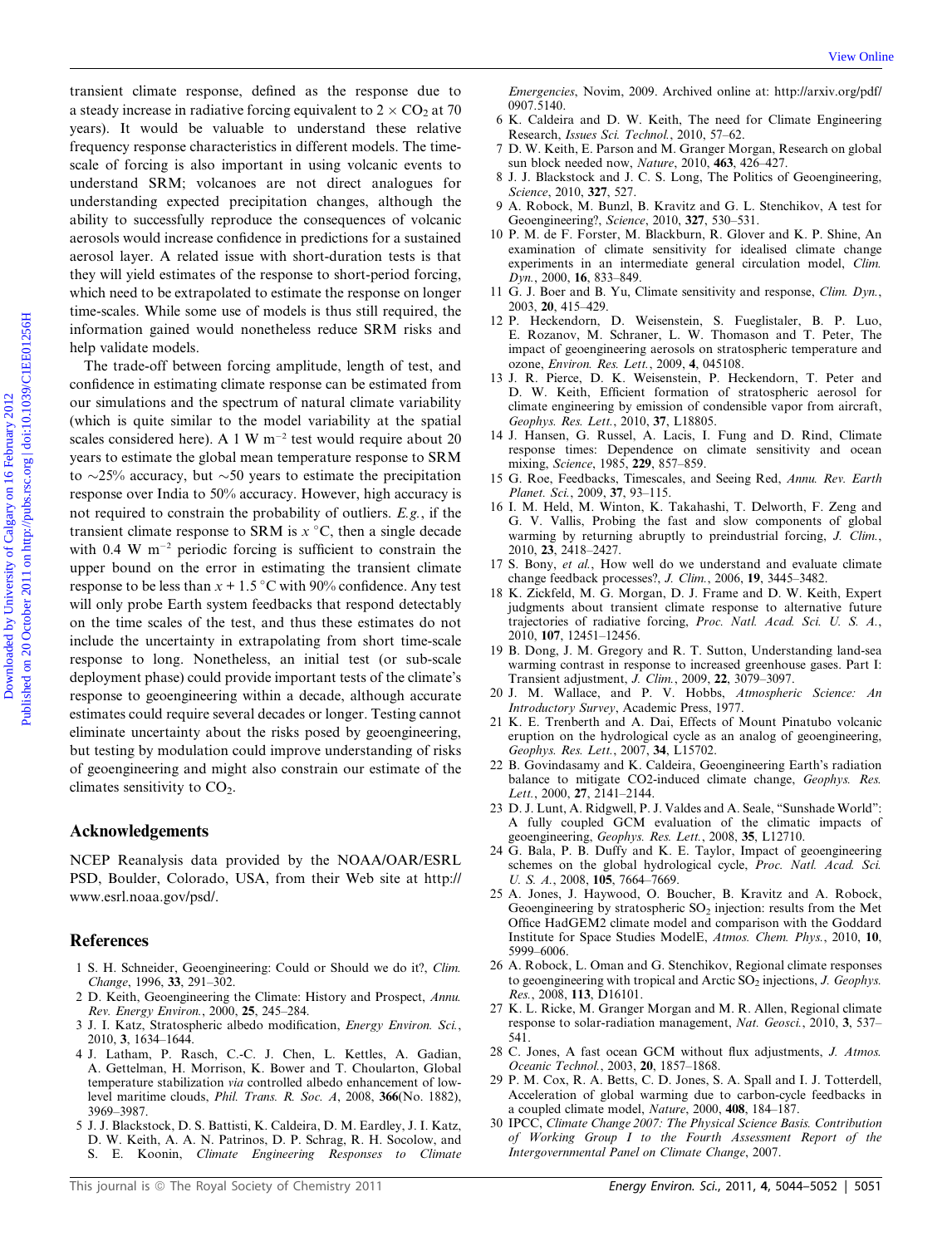transient climate response, defined as the response due to a steady increase in radiative forcing equivalent to  $2 \times CO<sub>2</sub>$  at 70 years). It would be valuable to understand these relative frequency response characteristics in different models. The timescale of forcing is also important in using volcanic events to understand SRM; volcanoes are not direct analogues for understanding expected precipitation changes, although the ability to successfully reproduce the consequences of volcanic aerosols would increase confidence in predictions for a sustained aerosol layer. A related issue with short-duration tests is that they will yield estimates of the response to short-period forcing, which need to be extrapolated to estimate the response on longer time-scales. While some use of models is thus still required, the information gained would nonetheless reduce SRM risks and help validate models.

The trade-off between forcing amplitude, length of test, and confidence in estimating climate response can be estimated from our simulations and the spectrum of natural climate variability (which is quite similar to the model variability at the spatial scales considered here). A 1 W  $m^{-2}$  test would require about 20 years to estimate the global mean temperature response to SRM to  $\sim$ 25% accuracy, but  $\sim$ 50 years to estimate the precipitation response over India to 50% accuracy. However, high accuracy is not required to constrain the probability of outliers. E.g., if the transient climate response to SRM is  $x^{\circ}$ C, then a single decade with  $0.4 \text{ W m}^{-2}$  periodic forcing is sufficient to constrain the upper bound on the error in estimating the transient climate response to be less than  $x + 1.5$  °C with 90% confidence. Any test will only probe Earth system feedbacks that respond detectably on the time scales of the test, and thus these estimates do not include the uncertainty in extrapolating from short time-scale response to long. Nonetheless, an initial test (or sub-scale deployment phase) could provide important tests of the climate's response to geoengineering within a decade, although accurate estimates could require several decades or longer. Testing cannot eliminate uncertainty about the risks posed by geoengineering, but testing by modulation could improve understanding of risks of geoengineering and might also constrain our estimate of the climates sensitivity to CO<sub>2</sub>. Example of the state of the state of the state of California Control of California Control of California Control of California Control of California Control of California Control of California Control of California Contro

### Acknowledgements

NCEP Reanalysis data provided by the NOAA/OAR/ESRL PSD, Boulder, Colorado, USA, from their Web site at http:// www.esrl.noaa.gov/psd/.

#### References

- 1 S. H. Schneider, Geoengineering: Could or Should we do it?, Clim. Change, 1996, 33, 291–302.
- 2 D. Keith, Geoengineering the Climate: History and Prospect, Annu. Rev. Energy Environ., 2000, 25, 245–284.
- 3 J. I. Katz, Stratospheric albedo modification, Energy Environ. Sci., 2010, 3, 1634–1644.
- 4 J. Latham, P. Rasch, C.-C. J. Chen, L. Kettles, A. Gadian, A. Gettelman, H. Morrison, K. Bower and T. Choularton, Global temperature stabilization via controlled albedo enhancement of lowlevel maritime clouds, Phil. Trans. R. Soc. A, 2008, 366(No. 1882), 3969–3987.
- 5 J. J. Blackstock, D. S. Battisti, K. Caldeira, D. M. Eardley, J. I. Katz, D. W. Keith, A. A. N. Patrinos, D. P. Schrag, R. H. Socolow, and S. E. Koonin, Climate Engineering Responses to Climate

Emergencies, Novim, 2009. Archived online at: http://arxiv.org/pdf/ 0907.5140.

- 6 K. Caldeira and D. W. Keith, The need for Climate Engineering Research, Issues Sci. Technol., 2010, 57–62.
- 7 D. W. Keith, E. Parson and M. Granger Morgan, Research on global sun block needed now, Nature, 2010, 463, 426–427.
- 8 J. J. Blackstock and J. C. S. Long, The Politics of Geoengineering, Science, 2010, 327, 527.
- 9 A. Robock, M. Bunzl, B. Kravitz and G. L. Stenchikov, A test for Geoengineering?, Science, 2010, 327, 530–531.
- 10 P. M. de F. Forster, M. Blackburn, R. Glover and K. P. Shine, An examination of climate sensitivity for idealised climate change experiments in an intermediate general circulation model, Clim. Dyn., 2000, 16, 833–849.
- 11 G. J. Boer and B. Yu, Climate sensitivity and response, Clim. Dyn., 2003, 20, 415–429.
- 12 P. Heckendorn, D. Weisenstein, S. Fueglistaler, B. P. Luo, E. Rozanov, M. Schraner, L. W. Thomason and T. Peter, The impact of geoengineering aerosols on stratospheric temperature and ozone, Environ. Res. Lett., 2009, 4, 045108.
- 13 J. R. Pierce, D. K. Weisenstein, P. Heckendorn, T. Peter and D. W. Keith, Efficient formation of stratospheric aerosol for climate engineering by emission of condensible vapor from aircraft, Geophys. Res. Lett., 2010, 37, L18805.
- 14 J. Hansen, G. Russel, A. Lacis, I. Fung and D. Rind, Climate response times: Dependence on climate sensitivity and ocean mixing, Science, 1985, 229, 857–859.
- 15 G. Roe, Feedbacks, Timescales, and Seeing Red, Annu. Rev. Earth Planet. Sci., 2009, 37, 93–115.
- 16 I. M. Held, M. Winton, K. Takahashi, T. Delworth, F. Zeng and G. V. Vallis, Probing the fast and slow components of global warming by returning abruptly to preindustrial forcing, J. Clim., 2010, 23, 2418–2427.
- 17 S. Bony, et al., How well do we understand and evaluate climate change feedback processes?, J. Clim., 2006, 19, 3445–3482.
- 18 K. Zickfeld, M. G. Morgan, D. J. Frame and D. W. Keith, Expert judgments about transient climate response to alternative future trajectories of radiative forcing, Proc. Natl. Acad. Sci. U. S. A., 2010, 107, 12451–12456.
- 19 B. Dong, J. M. Gregory and R. T. Sutton, Understanding land-sea warming contrast in response to increased greenhouse gases. Part I: Transient adjustment, J. Clim., 2009, 22, 3079–3097.
- 20 J. M. Wallace, and P. V. Hobbs, Atmospheric Science: An Introductory Survey, Academic Press, 1977.
- 21 K. E. Trenberth and A. Dai, Effects of Mount Pinatubo volcanic eruption on the hydrological cycle as an analog of geoengineering, Geophys. Res. Lett., 2007, 34, L15702.
- 22 B. Govindasamy and K. Caldeira, Geoengineering Earth's radiation balance to mitigate CO2-induced climate change, Geophys. Res. Lett., 2000, 27, 2141–2144.
- 23 D. J. Lunt, A. Ridgwell, P. J. Valdes and A. Seale, ''Sunshade World'': A fully coupled GCM evaluation of the climatic impacts of geoengineering, Geophys. Res. Lett., 2008, 35, L12710.
- 24 G. Bala, P. B. Duffy and K. E. Taylor, Impact of geoengineering schemes on the global hydrological cycle, Proc. Natl. Acad. Sci. U. S. A., 2008, 105, 7664–7669.
- 25 A. Jones, J. Haywood, O. Boucher, B. Kravitz and A. Robock, Geoengineering by stratospheric  $SO_2$  injection: results from the Met Office HadGEM2 climate model and comparison with the Goddard Institute for Space Studies ModelE, Atmos. Chem. Phys., 2010, 10, 5999–6006.
- 26 A. Robock, L. Oman and G. Stenchikov, Regional climate responses to geoengineering with tropical and Arctic  $SO_2$  injections, J. Geophys. Res., 2008, 113, D16101.
- 27 K. L. Ricke, M. Granger Morgan and M. R. Allen, Regional climate response to solar-radiation management, Nat. Geosci., 2010, 3, 537– 541.
- 28 C. Jones, A fast ocean GCM without flux adjustments, J. Atmos. Oceanic Technol., 2003, 20, 1857–1868.
- 29 P. M. Cox, R. A. Betts, C. D. Jones, S. A. Spall and I. J. Totterdell, Acceleration of global warming due to carbon-cycle feedbacks in a coupled climate model, Nature, 2000, 408, 184–187.
- 30 IPCC, Climate Change 2007: The Physical Science Basis. Contribution of Working Group I to the Fourth Assessment Report of the Intergovernmental Panel on Climate Change, 2007.